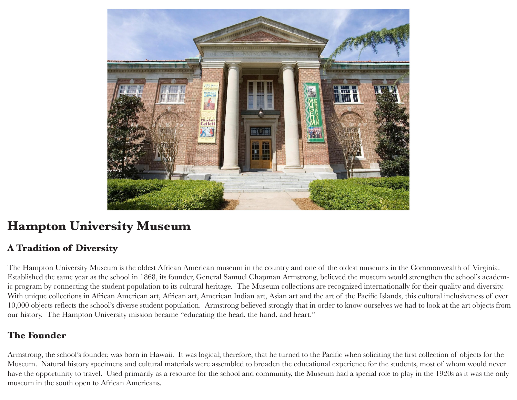

# **Hampton University Museum**

## **A Tradition of Diversity**

The Hampton University Museum is the oldest African American museum in the country and one of the oldest museums in the Commonwealth of Virginia. Established the same year as the school in 1868, its founder, General Samuel Chapman Armstrong, believed the museum would strengthen the school's academic program by connecting the student population to its cultural heritage. The Museum collections are recognized internationally for their quality and diversity. With unique collections in African American art, African art, American Indian art, Asian art and the art of the Pacific Islands, this cultural inclusiveness of over 10,000 objects reflects the school's diverse student population. Armstrong believed strongly that in order to know ourselves we had to look at the art objects from our history. The Hampton University mission became "educating the head, the hand, and heart."

## **The Founder**

Armstrong, the school's founder, was born in Hawaii. It was logical; therefore, that he turned to the Pacific when soliciting the first collection of objects for the Museum. Natural history specimens and cultural materials were assembled to broaden the educational experience for the students, most of whom would never have the opportunity to travel. Used primarily as a resource for the school and community, the Museum had a special role to play in the 1920s as it was the only museum in the south open to African Americans.